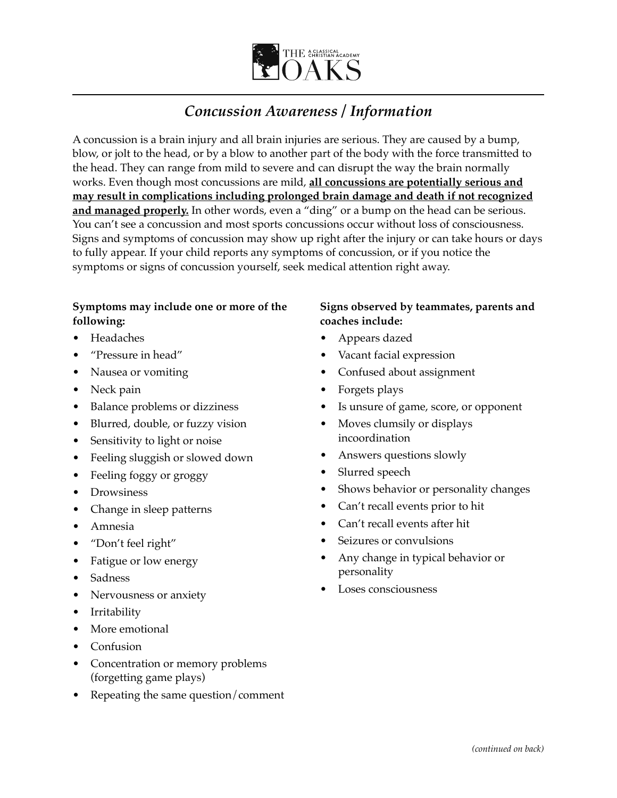

# *Concussion Awareness / Information*

A concussion is a brain injury and all brain injuries are serious. They are caused by a bump, blow, or jolt to the head, or by a blow to another part of the body with the force transmitted to the head. They can range from mild to severe and can disrupt the way the brain normally works. Even though most concussions are mild, **all concussions are potentially serious and may result in complications including prolonged brain damage and death if not recognized and managed properly.** In other words, even a "ding" or a bump on the head can be serious. You can't see a concussion and most sports concussions occur without loss of consciousness. Signs and symptoms of concussion may show up right after the injury or can take hours or days to fully appear. If your child reports any symptoms of concussion, or if you notice the symptoms or signs of concussion yourself, seek medical attention right away.

## **Symptoms may include one or more of the following:**

- Headaches
- "Pressure in head"
- Nausea or vomiting
- Neck pain
- Balance problems or dizziness
- Blurred, double, or fuzzy vision
- Sensitivity to light or noise
- Feeling sluggish or slowed down
- Feeling foggy or groggy
- Drowsiness
- Change in sleep patterns
- Amnesia
- "Don't feel right"
- Fatigue or low energy
- Sadness
- Nervousness or anxiety
- **Irritability**
- More emotional
- Confusion
- Concentration or memory problems (forgetting game plays)
- Repeating the same question/comment

## **Signs observed by teammates, parents and coaches include:**

- Appears dazed
- Vacant facial expression
- Confused about assignment
- Forgets plays
- Is unsure of game, score, or opponent
- Moves clumsily or displays incoordination
- Answers questions slowly
- Slurred speech
- Shows behavior or personality changes
- Can't recall events prior to hit
- Can't recall events after hit
- Seizures or convulsions
- Any change in typical behavior or personality
- Loses consciousness